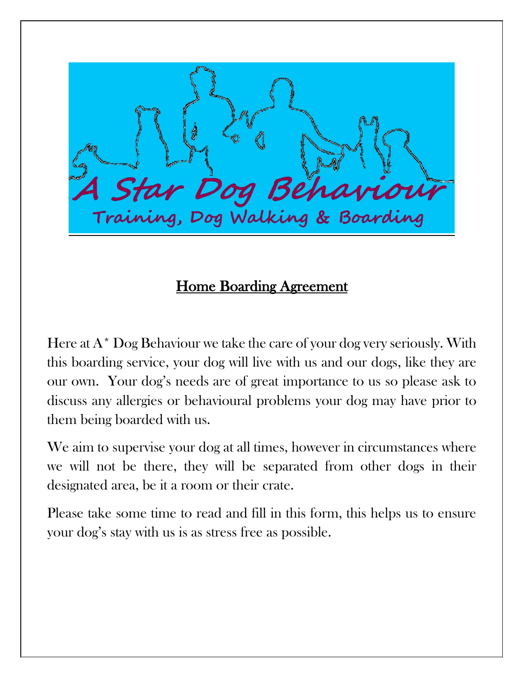

## Home Boarding Agreement

Here at  $A^*$  Dog Behaviour we take the care of your dog very seriously. With this boarding service, your dog will live with us and our dogs, like they are our own. Your dog's needs are of great importance to us so please ask to discuss any allergies or behavioural problems your dog may have prior to them being boarded with us.

We aim to supervise your dog at all times, however in circumstances where we will not be there, they will be separated from other dogs in their designated area, be it a room or their crate.

Please take some time to read and fill in this form, this helps us to ensure your dog's stay with us is as stress free as possible.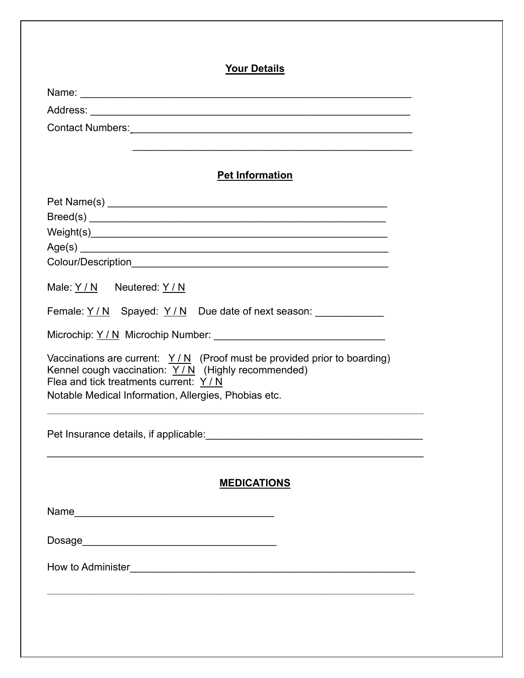| <b>Your Details</b>                                                                                                                                                                                                                   |  |
|---------------------------------------------------------------------------------------------------------------------------------------------------------------------------------------------------------------------------------------|--|
|                                                                                                                                                                                                                                       |  |
|                                                                                                                                                                                                                                       |  |
|                                                                                                                                                                                                                                       |  |
|                                                                                                                                                                                                                                       |  |
| <b>Pet Information</b>                                                                                                                                                                                                                |  |
|                                                                                                                                                                                                                                       |  |
|                                                                                                                                                                                                                                       |  |
|                                                                                                                                                                                                                                       |  |
|                                                                                                                                                                                                                                       |  |
|                                                                                                                                                                                                                                       |  |
| Male: Y / N Neutered: Y / N                                                                                                                                                                                                           |  |
| Female: <u>Y/N</u> Spayed: <u>Y/N</u> Due date of next season: _____________                                                                                                                                                          |  |
|                                                                                                                                                                                                                                       |  |
| Vaccinations are current: $Y/N$ (Proof must be provided prior to boarding)<br>Kennel cough vaccination: $Y/N$ (Highly recommended)<br>Flea and tick treatments current: $Y/N$<br>Notable Medical Information, Allergies, Phobias etc. |  |
|                                                                                                                                                                                                                                       |  |
| <b>MEDICATIONS</b>                                                                                                                                                                                                                    |  |
|                                                                                                                                                                                                                                       |  |
|                                                                                                                                                                                                                                       |  |
|                                                                                                                                                                                                                                       |  |
|                                                                                                                                                                                                                                       |  |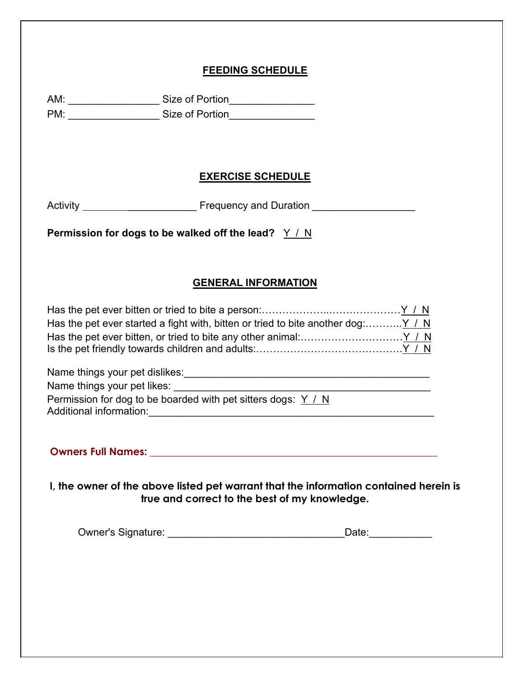## **FEEDING SCHEDULE**

|                             | AM: _________________________Size of Portion____________________                                                                                                                                                                                                                                    |
|-----------------------------|-----------------------------------------------------------------------------------------------------------------------------------------------------------------------------------------------------------------------------------------------------------------------------------------------------|
|                             | <b>EXERCISE SCHEDULE</b>                                                                                                                                                                                                                                                                            |
|                             |                                                                                                                                                                                                                                                                                                     |
|                             | Permission for dogs to be walked off the lead? $Y / N$                                                                                                                                                                                                                                              |
|                             |                                                                                                                                                                                                                                                                                                     |
|                             | <b>GENERAL INFORMATION</b>                                                                                                                                                                                                                                                                          |
|                             | Has the pet ever started a fight with, bitten or tried to bite another dog: $Y / N$                                                                                                                                                                                                                 |
| Name things your pet likes: | Name things your pet dislikes:<br>and the contract of the contract of the contract of the contract of the contract of the contract of the contract of the contract of the contract of the contract of the contract of the contra<br>Permission for dog to be boarded with pet sitters dogs: $Y / N$ |
|                             | Owners Full Names: Name of the Commission of the Commission of the Commission of the Commission of the Commission                                                                                                                                                                                   |

**I, the owner of the above listed pet warrant that the information contained herein is true and correct to the best of my knowledge.**

Owner's Signature: \_\_\_\_\_\_\_\_\_\_\_\_\_\_\_\_\_\_\_\_\_\_\_\_\_\_\_\_\_\_\_Date:\_\_\_\_\_\_\_\_\_\_\_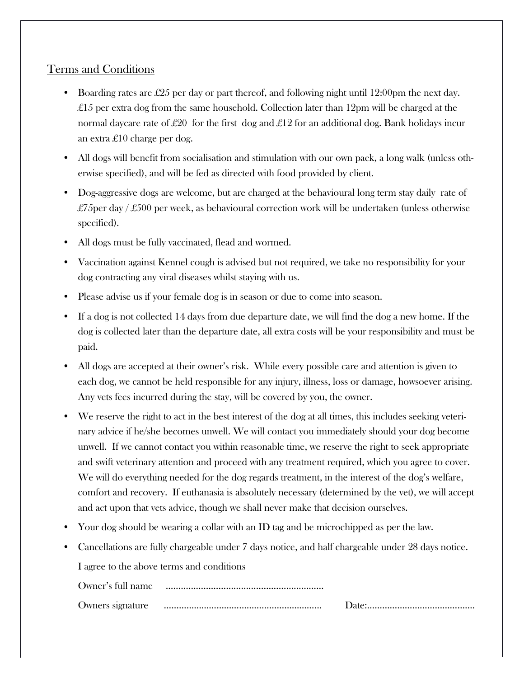## Terms and Conditions

- Boarding rates are £25 per day or part thereof, and following night until 12:00pm the next day. £15 per extra dog from the same household. Collection later than 12pm will be charged at the normal daycare rate of £20 for the first dog and £12 for an additional dog. Bank holidays incur an extra £10 charge per dog.
- All dogs will benefit from socialisation and stimulation with our own pack, a long walk (unless otherwise specified), and will be fed as directed with food provided by client.
- Dog-aggressive dogs are welcome, but are charged at the behavioural long term stay daily rate of £75 per day / £500 per week, as behavioural correction work will be undertaken (unless otherwise specified).
- All dogs must be fully vaccinated, flead and wormed.
- Vaccination against Kennel cough is advised but not required, we take no responsibility for your dog contracting any viral diseases whilst staying with us.
- Please advise us if your female dog is in season or due to come into season.
- If a dog is not collected 14 days from due departure date, we will find the dog a new home. If the dog is collected later than the departure date, all extra costs will be your responsibility and must be paid.
- All dogs are accepted at their owner's risk. While every possible care and attention is given to each dog, we cannot be held responsible for any injury, illness, loss or damage, howsoever arising. Any vets fees incurred during the stay, will be covered by you, the owner.
- We reserve the right to act in the best interest of the dog at all times, this includes seeking veterinary advice if he/she becomes unwell. We will contact you immediately should your dog become unwell. If we cannot contact you within reasonable time, we reserve the right to seek appropriate and swift veterinary attention and proceed with any treatment required, which you agree to cover. We will do everything needed for the dog regards treatment, in the interest of the dog's welfare, comfort and recovery. If euthanasia is absolutely necessary (determined by the vet), we will accept and act upon that vets advice, though we shall never make that decision ourselves.
- Your dog should be wearing a collar with an ID tag and be microchipped as per the law.
- Cancellations are fully chargeable under 7 days notice, and half chargeable under 28 days notice.

I agree to the above terms and conditions

| Owner's full name |  |
|-------------------|--|
| Owners signature  |  |